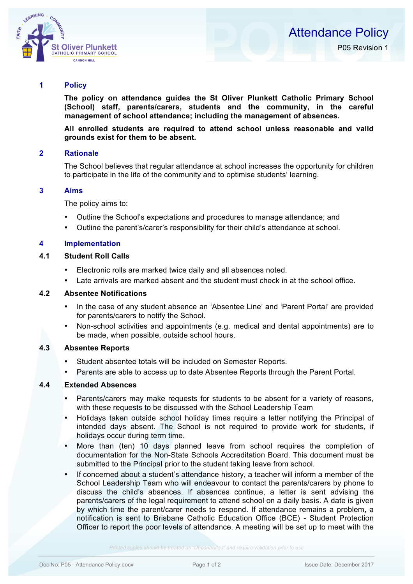

### **1 Policy**

**The policy on attendance guides the St Oliver Plunkett Catholic Primary School (School) staff, parents/carers, students and the community, in the careful management of school attendance; including the management of absences.**

**All enrolled students are required to attend school unless reasonable and valid grounds exist for them to be absent.**

## **2 Rationale**

The School believes that regular attendance at school increases the opportunity for children to participate in the life of the community and to optimise students' learning.

### **3 Aims**

The policy aims to:

- Outline the School's expectations and procedures to manage attendance; and
- Outline the parent's/carer's responsibility for their child's attendance at school.

#### **4 Implementation**

# **4.1 Student Roll Calls**

- Electronic rolls are marked twice daily and all absences noted.
- Late arrivals are marked absent and the student must check in at the school office.

#### **4.2 Absentee Notifications**

- In the case of any student absence an 'Absentee Line' and 'Parent Portal' are provided for parents/carers to notify the School.
- Non-school activities and appointments (e.g. medical and dental appointments) are to be made, when possible, outside school hours.

#### **4.3 Absentee Reports**

- Student absentee totals will be included on Semester Reports.
- Parents are able to access up to date Absentee Reports through the Parent Portal.

#### **4.4 Extended Absences**

- Parents/carers may make requests for students to be absent for a variety of reasons, with these requests to be discussed with the School Leadership Team
- Holidays taken outside school holiday times require a letter notifying the Principal of intended days absent. The School is not required to provide work for students, if holidays occur during term time.
- More than (ten) 10 days planned leave from school requires the completion of documentation for the Non-State Schools Accreditation Board. This document must be submitted to the Principal prior to the student taking leave from school.
- If concerned about a student's attendance history, a teacher will inform a member of the School Leadership Team who will endeavour to contact the parents/carers by phone to discuss the child's absences. If absences continue, a letter is sent advising the parents/carers of the legal requirement to attend school on a daily basis. A date is given by which time the parent/carer needs to respond. If attendance remains a problem, a notification is sent to Brisbane Catholic Education Office (BCE) - Student Protection Officer to report the poor levels of attendance. A meeting will be set up to meet with the

*Printed copies should be treated as "Uncontrolled" and require validation prior to use*